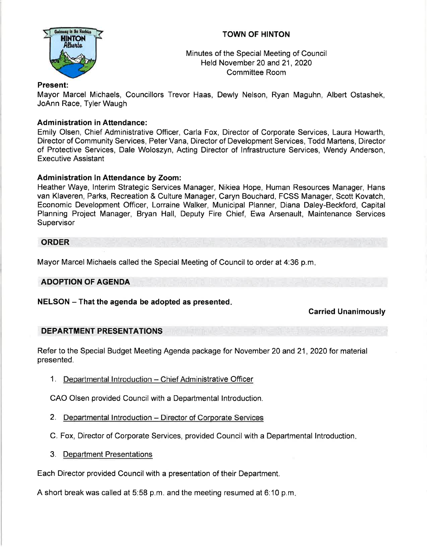

# TOWN OF HINTON

Minutes of the Special Meeting of Council Held November 20 and 21, 2020 Committee Room

# Present:

Mayor Marcel Michaels, Councillors Trevor Haas, Dewly Nelson, Ryan Maguhn, Albert Ostashek, JoAnn Race, Tyler Waugh

# **Administration in Attendance:**

Emily Olsen, Chief Administrative Officer, Carla Fox, Director of Corporate Services, Laura Howarth, Director of Community Services, Peter Vana, Director of Development Services, Todd Martens, Director of Protective Services, Dale Woloszyn, Acting Director of lnfrastructure Services, Wendy Anderson, Executive Assistant

# Administration ln Attendance by Zoom:

Heather Waye, lnterim Strategic Services Manager, Nikiea Hope, Human Resources Manager, Hans van Klaveren, Parks, Recreation & Culture Manager, Caryn Bouchard, FCSS Manager, Scott Kovatch, Economic Development Officer, Lorraine Walker, Municipal Planner, Diana Daley-Beckford, Capital Planning Project Manager, Bryan Hall, Deputy Fire Chief, Ewa Arsenault, Maintenance Services **Supervisor** 

### ORDER

Mayor Marcel Michaels called the Special Meeting of Council to order at 4:36 p.m

### ADOPTION OF AGENDA

 $NELSON - That$  the agenda be adopted as presented.

### Carried Unanimously

### DEPARTMENT PRESENTATIONS

Refer to the Special Budget Meeting Agenda package for November 20 and 21, 2020 for material presented.

1. Departmental Introduction - Chief Administrative Officer

CAO Olsen provided Council with a Departmental Introduction.

- 2. Departmental Introduction Director of Corporate Services
- C. Fox, Director of Corporate Services, provided Council with a Departmental lntroduction
- 3. Department Presentations

Each Director provided Council with a presentation of their Department.

A short break was called at 5:58 p.m. and the meeting resumed at 6:10 p.m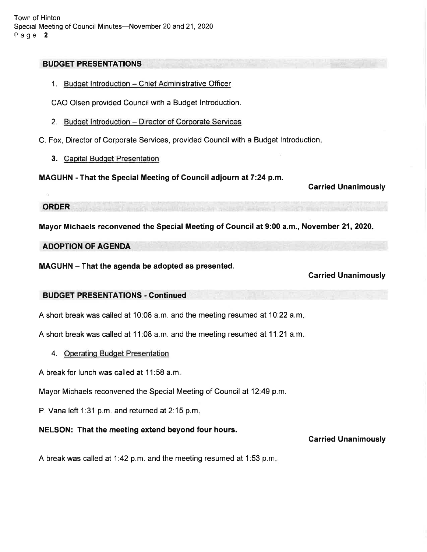Town of Hinton Special Meeting of Council Minutes-November 20 and 21, 2020 Page l2

#### BUDGET PRESENTATIONS

1. Budget Introduction - Chief Administrative Officer

CAO Olsen provided Council with a Budget Introduction.

2. Budget Introduction - Director of Corporate Services

C. Fox, Director of Corporate Services, provided Council with a Budget lntroduction

3. Capital Budget Presentation

MAGUHN - That the Special Meeting of Council adjourn at 7:24 p.m.

Carried Unanimously

ORDER

Mayor Michaels reconvened the Special Meeting of Council at 9:00 a.m., November 21,2020

#### ADOPTION OF AGENDA

MAGUHN - That the agenda be adopted as presented.

Garried Unanimously

### BUDGET PRESENTATIONS - Gontinued

A short break was called at 10:08 a.m. and the meeting resumed at 10:22 a.m

A short break was called at 1 1:08 a.m. and the meeting resumed at 11.21 a.m

4. Operating Budget Presentation

A break for lunch was called at 11:58 a.m

Mayor Michaels reconvened the Special Meeting of Council at 12'.49 p.m.

P. Vana left 1:31 p.m. and returned at 2:15 p.m.

### NELSON: That the meeting extend beyond four hours.

### Garried Unanimously

A break was called at 1.42 p.m. and the meeting resumed at 1:53 p.m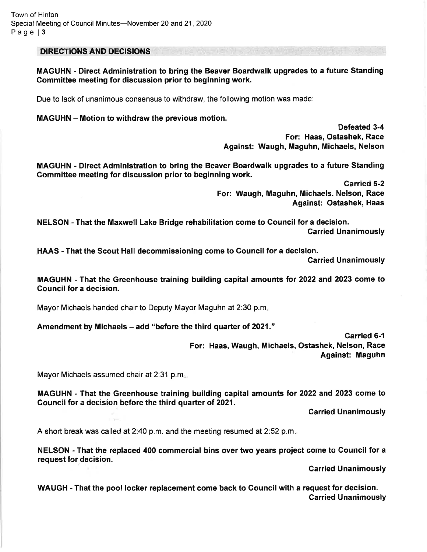DIRECTIONS AND DECISIONS

MAGUHN - Direct Administration to bring the Beaver Boardwalk upgrades to a future Standing Committee meeting for discussion prior to beginning work.

Due to lack of unanimous consensus to withdraw, the following motion was made:

MAGUHN - Motion to withdraw the previous motion.

Defeated 3-4 For: Haas, Ostashek, Race Against: Waugh, Maguhn, Michaels, Nelson

MAGUHN - Direct Administration to bring the Beaver Boardwalk upgrades to a future Standing Gommittee meeting for discussion prior to beginning work.

> Garried 5-2 For: Waugh, Maguhn, Michaels. Nelson, Race Against: Ostashek, Haas

NELSON - That the Maxwell Lake Bridge rehabilitation come to Council for a decision. Garried Unanimously

HAAS - That the Scout Hall decommissioning come to Council for a decision.

Carried Unanimously

MAGUHN - That the Greenhouse training building capital amounts for 2022 and 2023 come to Council for a decision.

Mayor Michaels handed chair to Deputy Mayor Maguhn at 2:30 p.m

Amendment by Michaels – add "before the third quarter of 2021."

Garried 6-1 For: Haas, Waugh, Michaels, Ostashek, Nelson, Race Against: Maguhn

Mayor Michaels assumed chair at 2:31 p.m.

MAGUHN - That the Greenhouse training building capital amounts for 2022 and 2023 come to Council for a decision before the third quarter of 2021.

Garried Unanimously

A short break was called at 2:40 p.m. and the meeting resumed at 2:52 p.m.

NELSON - That the replaced 400 commercial bins over two years project come to Council for a request for decision.

Garried Unanimously

WAUGH - That the pool locker replacement come back to Council with a request for decision. Garried Unanimously